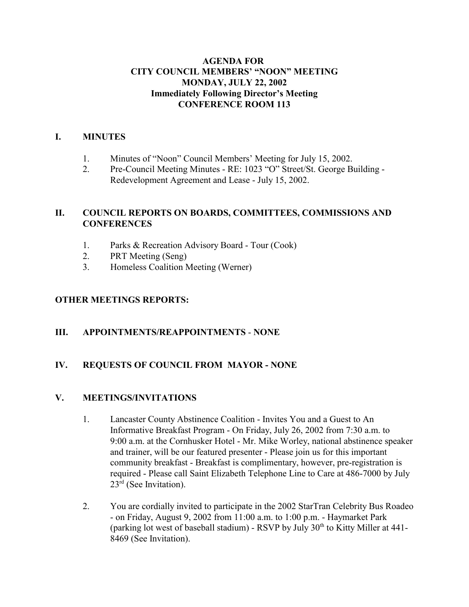### **AGENDA FOR CITY COUNCIL MEMBERS' "NOON" MEETING MONDAY, JULY 22, 2002 Immediately Following Director's Meeting CONFERENCE ROOM 113**

### **I. MINUTES**

- 1. Minutes of "Noon" Council Members' Meeting for July 15, 2002.
- 2. Pre-Council Meeting Minutes RE: 1023 "O" Street/St. George Building Redevelopment Agreement and Lease - July 15, 2002.

## **II. COUNCIL REPORTS ON BOARDS, COMMITTEES, COMMISSIONS AND CONFERENCES**

- 1. Parks & Recreation Advisory Board Tour (Cook)
- 2. PRT Meeting (Seng)
- 3. Homeless Coalition Meeting (Werner)

## **OTHER MEETINGS REPORTS:**

#### **III. APPOINTMENTS/REAPPOINTMENTS** - **NONE**

## **IV. REQUESTS OF COUNCIL FROM MAYOR - NONE**

#### **V. MEETINGS/INVITATIONS**

- 1. Lancaster County Abstinence Coalition Invites You and a Guest to An Informative Breakfast Program - On Friday, July 26, 2002 from 7:30 a.m. to 9:00 a.m. at the Cornhusker Hotel - Mr. Mike Worley, national abstinence speaker and trainer, will be our featured presenter - Please join us for this important community breakfast - Breakfast is complimentary, however, pre-registration is required - Please call Saint Elizabeth Telephone Line to Care at 486-7000 by July  $23<sup>rd</sup>$  (See Invitation).
- 2. You are cordially invited to participate in the 2002 StarTran Celebrity Bus Roadeo - on Friday, August 9, 2002 from 11:00 a.m. to 1:00 p.m. - Haymarket Park (parking lot west of baseball stadium) - RSVP by July  $30<sup>th</sup>$  to Kitty Miller at 441-8469 (See Invitation).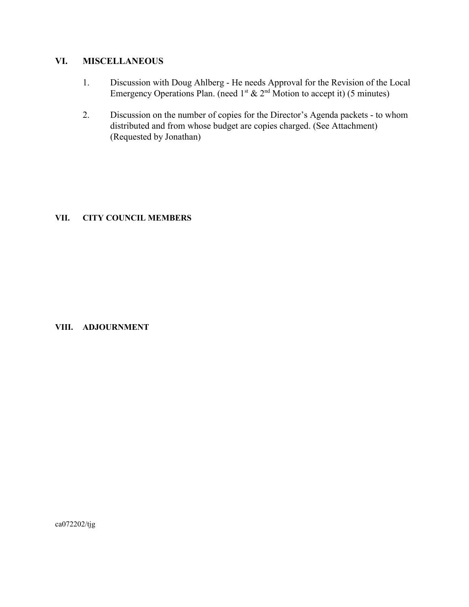## **VI. MISCELLANEOUS**

- 1. Discussion with Doug Ahlberg He needs Approval for the Revision of the Local Emergency Operations Plan. (need  $1^{st}$  &  $2^{nd}$  Motion to accept it) (5 minutes)
- 2. Discussion on the number of copies for the Director's Agenda packets to whom distributed and from whose budget are copies charged. (See Attachment) (Requested by Jonathan)

#### **VII. CITY COUNCIL MEMBERS**

#### **VIII. ADJOURNMENT**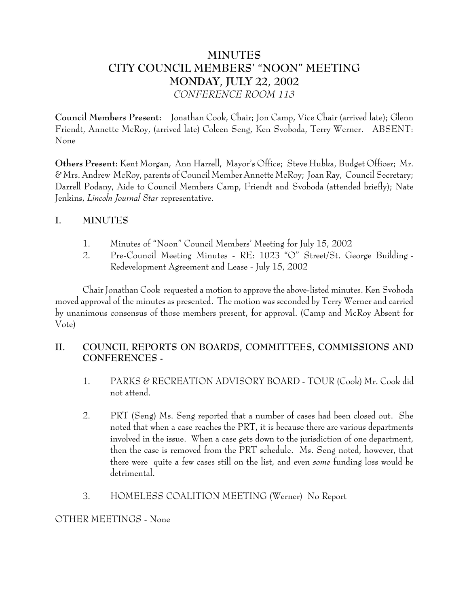# **MINUTES CITY COUNCIL MEMBERS' "NOON" MEETING MONDAY, JULY 22, 2002** *CONFERENCE ROOM 113*

**Council Members Present:** Jonathan Cook, Chair; Jon Camp, Vice Chair (arrived late); Glenn Friendt, Annette McRoy, (arrived late) Coleen Seng, Ken Svoboda, Terry Werner. ABSENT: None

**Others Present:** Kent Morgan, Ann Harrell, Mayor's Office; Steve Hubka, Budget Officer; Mr. & Mrs. Andrew McRoy, parents of Council Member Annette McRoy; Joan Ray, Council Secretary; Darrell Podany, Aide to Council Members Camp, Friendt and Svoboda (attended briefly); Nate Jenkins, *Lincoln Journal Star* representative.

## **I. MINUTES**

- 1. Minutes of "Noon" Council Members' Meeting for July 15, 2002
- 2. Pre-Council Meeting Minutes RE: 1023 "O" Street/St. George Building Redevelopment Agreement and Lease - July 15, 2002

Chair Jonathan Cook requested a motion to approve the above-listed minutes. Ken Svoboda moved approval of the minutes as presented. The motion was seconded by Terry Werner and carried by unanimous consensus of those members present, for approval. (Camp and McRoy Absent for Vote)

## **II. COUNCIL REPORTS ON BOARDS, COMMITTEES, COMMISSIONS AND CONFERENCES -**

- 1. PARKS & RECREATION ADVISORY BOARD TOUR (Cook) Mr. Cook did not attend.
- 2. PRT (Seng) Ms. Seng reported that a number of cases had been closed out. She noted that when a case reaches the PRT, it is because there are various departments involved in the issue. When a case gets down to the jurisdiction of one department, then the case is removed from the PRT schedule. Ms. Seng noted, however, that there were quite a few cases still on the list, and even *some* funding loss would be detrimental.
- 3. HOMELESS COALITION MEETING (Werner) No Report

OTHER MEETINGS - None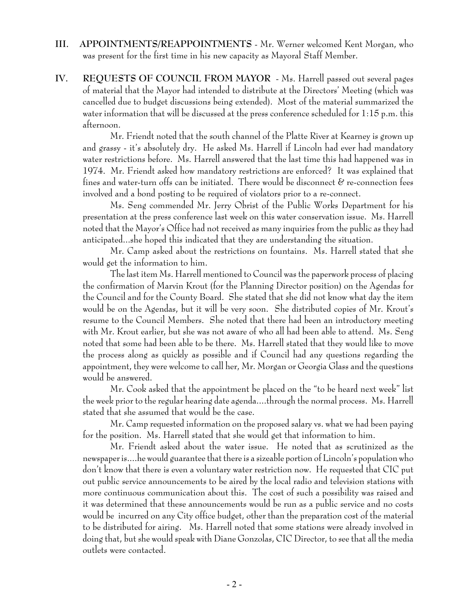- **III. APPOINTMENTS/REAPPOINTMENTS** Mr. Werner welcomed Kent Morgan, who was present for the first time in his new capacity as Mayoral Staff Member.
- **IV. REQUESTS OF COUNCIL FROM MAYOR** Ms. Harrell passed out several pages of material that the Mayor had intended to distribute at the Directors' Meeting (which was cancelled due to budget discussions being extended). Most of the material summarized the water information that will be discussed at the press conference scheduled for 1:15 p.m. this afternoon.

Mr. Friendt noted that the south channel of the Platte River at Kearney is grown up and grassy - it's absolutely dry. He asked Ms. Harrell if Lincoln had ever had mandatory water restrictions before. Ms. Harrell answered that the last time this had happened was in 1974. Mr. Friendt asked how mandatory restrictions are enforced? It was explained that fines and water-turn offs can be initiated. There would be disconnect  $\mathscr C$  re-connection fees involved and a bond posting to be required of violators prior to a re-connect.

Ms. Seng commended Mr. Jerry Obrist of the Public Works Department for his presentation at the press conference last week on this water conservation issue. Ms. Harrell noted that the Mayor's Office had not received as many inquiries from the public as they had anticipated...she hoped this indicated that they are understanding the situation.

Mr. Camp asked about the restrictions on fountains. Ms. Harrell stated that she would get the information to him.

The last item Ms. Harrell mentioned to Council was the paperwork process of placing the confirmation of Marvin Krout (for the Planning Director position) on the Agendas for the Council and for the County Board. She stated that she did not know what day the item would be on the Agendas, but it will be very soon. She distributed copies of Mr. Krout's resume to the Council Members. She noted that there had been an introductory meeting with Mr. Krout earlier, but she was not aware of who all had been able to attend. Ms. Seng noted that some had been able to be there. Ms. Harrell stated that they would like to move the process along as quickly as possible and if Council had any questions regarding the appointment, they were welcome to call her, Mr. Morgan or Georgia Glass and the questions would be answered.

Mr. Cook asked that the appointment be placed on the "to be heard next week" list the week prior to the regular hearing date agenda....through the normal process. Ms. Harrell stated that she assumed that would be the case.

Mr. Camp requested information on the proposed salary vs. what we had been paying for the position. Ms. Harrell stated that she would get that information to him.

Mr. Friendt asked about the water issue. He noted that as scrutinized as the newspaper is....he would guarantee that there is a sizeable portion of Lincoln's population who don't know that there is even a voluntary water restriction now. He requested that CIC put out public service announcements to be aired by the local radio and television stations with more continuous communication about this. The cost of such a possibility was raised and it was determined that these announcements would be run as a public service and no costs would be incurred on any City office budget, other than the preparation cost of the material to be distributed for airing. Ms. Harrell noted that some stations were already involved in doing that, but she would speak with Diane Gonzolas, CIC Director, to see that all the media outlets were contacted.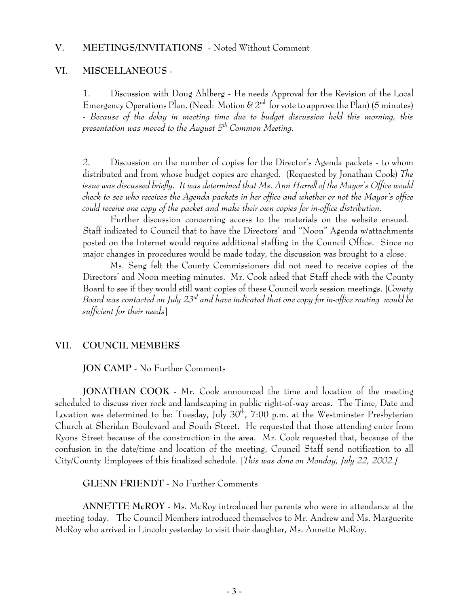#### **VI. MISCELLANEOUS** -

1. Discussion with Doug Ahlberg - He needs Approval for the Revision of the Local Emergency Operations Plan. (Need: Motion  $\& 2<sup>nd</sup>$  for vote to approve the Plan) (5 minutes) - *Because of the delay in meeting time due to budget discussion held this morning, this presentation was moved to the August 5th Common Meeting.*

2. Discussion on the number of copies for the Director's Agenda packets - to whom distributed and from whose budget copies are charged. (Requested by Jonathan Cook) *The issue was discussed briefly. It was determined that Ms. Ann Harrell of the Mayor's Office would check to see who receives the Agenda packets in her office and whether or not the Mayor's office could receive one copy of the packet and make their own copies for in-office distribution.* 

Further discussion concerning access to the materials on the website ensued. Staff indicated to Council that to have the Directors' and "Noon" Agenda w/attachments posted on the Internet would require additional staffing in the Council Office. Since no major changes in procedures would be made today, the discussion was brought to a close.

Ms. Seng felt the County Commissioners did not need to receive copies of the Directors' and Noon meeting minutes. Mr. Cook asked that Staff check with the County Board to see if they would still want copies of these Council work session meetings. [*County Board was contacted on July 23rd and have indicated that one copy for in-office routing would be sufficient for their needs*]

#### **VII. COUNCIL MEMBERS**

**JON CAMP** - No Further Comments

**JONATHAN COOK** - Mr. Cook announced the time and location of the meeting scheduled to discuss river rock and landscaping in public right-of-way areas. The Time, Date and Location was determined to be: Tuesday, July  $30<sup>th</sup>$ , 7:00 p.m. at the Westminster Presbyterian Church at Sheridan Boulevard and South Street. He requested that those attending enter from Ryons Street because of the construction in the area. Mr. Cook requested that, because of the confusion in the date/time and location of the meeting, Council Staff send notification to all City/County Employees of this finalized schedule. [*This was done on Monday, July 22, 2002.]*

**GLENN FRIENDT** - No Further Comments

**ANNETTE McROY** - Ms. McRoy introduced her parents who were in attendance at the meeting today. The Council Members introduced themselves to Mr. Andrew and Ms. Marguerite McRoy who arrived in Lincoln yesterday to visit their daughter, Ms. Annette McRoy.